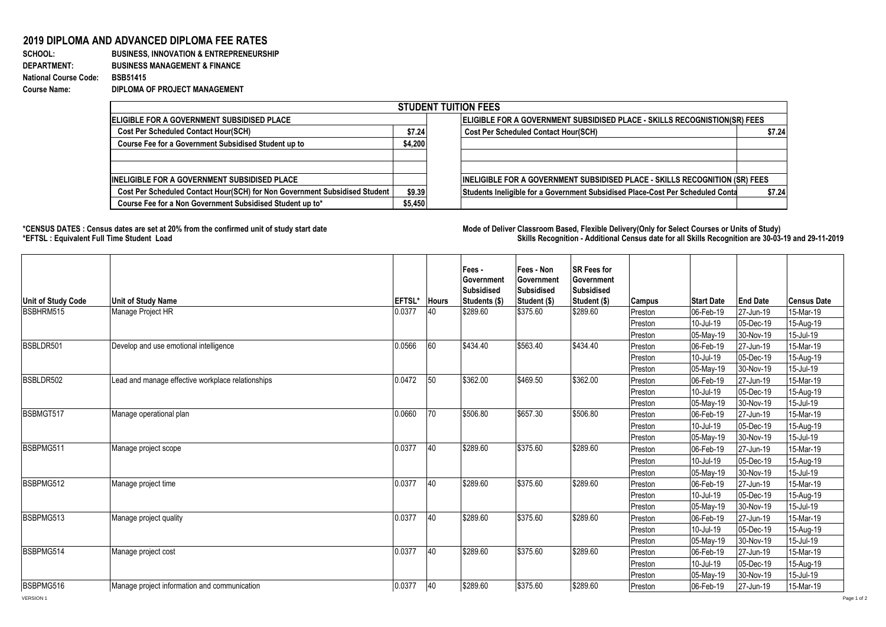## **2019 DIPLOMA AND ADVANCED DIPLOMA FEE RATES**

## **SCHOOL: BUSINESS, INNOVATION & ENTREPRENEURSHIP DEPARTMENT: BUSINESS MANAGEMENT & FINANCE National Course Code: BSB51415 Course Name: DIPLOMA OF PROJECT MANAGEMENT**

| <b>STUDENT TUITION FEES</b>                                                |         |                                                                                |        |  |  |  |  |  |  |
|----------------------------------------------------------------------------|---------|--------------------------------------------------------------------------------|--------|--|--|--|--|--|--|
| <b>IELIGIBLE FOR A GOVERNMENT SUBSIDISED PLACE</b>                         |         | ELIGIBLE FOR A GOVERNMENT SUBSIDISED PLACE - SKILLS RECOGNISTION(SR) FEES      |        |  |  |  |  |  |  |
| <b>Cost Per Scheduled Contact Hour(SCH)</b>                                | \$7.24  | <b>Cost Per Scheduled Contact Hour(SCH)</b>                                    | \$7.24 |  |  |  |  |  |  |
| Course Fee for a Government Subsidised Student up to                       | \$4,200 |                                                                                |        |  |  |  |  |  |  |
|                                                                            |         |                                                                                |        |  |  |  |  |  |  |
|                                                                            |         |                                                                                |        |  |  |  |  |  |  |
| <b>INELIGIBLE FOR A GOVERNMENT SUBSIDISED PLACE</b>                        |         | INELIGIBLE FOR A GOVERNMENT SUBSIDISED PLACE - SKILLS RECOGNITION (SR) FEES    |        |  |  |  |  |  |  |
| Cost Per Scheduled Contact Hour(SCH) for Non Government Subsidised Student | \$9.39  | Students Ineligible for a Government Subsidised Place-Cost Per Scheduled Conta | \$7.24 |  |  |  |  |  |  |
| Course Fee for a Non Government Subsidised Student up to*                  | \$5,450 |                                                                                |        |  |  |  |  |  |  |

1000

**\*CENSUS DATES : Census dates are set at 20% from the confirmed unit of study start date Mode of Delivery:Classroom Based, Flexible Delivery(Only for Select Courses or Units of Study) \*EFTSL : Equivalent Full Time Student Load Skills Recognition - Additional Census date for all Skills Recognition are 30-03-19 and 29-11-2019** 

| Unit of Study Code                                  | <b>Unit of Study Name</b>                         | EFTSL* Hours |    | Fees -<br><b>IGovernment</b><br>Subsidised<br>Students (\$) | Fees - Non<br>Government<br><b>Subsidised</b><br>Student (\$) | <b>SR Fees for</b><br>Government<br><b>Subsidised</b><br>Student (\$) | <b>Campus</b> | <b>Start Date</b> | <b>End Date</b> | <b>Census Date</b> |
|-----------------------------------------------------|---------------------------------------------------|--------------|----|-------------------------------------------------------------|---------------------------------------------------------------|-----------------------------------------------------------------------|---------------|-------------------|-----------------|--------------------|
| BSBHRM515                                           | Manage Project HR                                 | 0.0377       | 40 | \$289.60                                                    | \$375.60                                                      | \$289.60                                                              | Preston       | 06-Feb-19         | 27-Jun-19       | 15-Mar-19          |
|                                                     |                                                   |              |    |                                                             |                                                               |                                                                       | Preston       | 10-Jul-19         | 05-Dec-19       | 15-Aug-19          |
|                                                     |                                                   |              |    |                                                             |                                                               |                                                                       | Preston       | 05-May-19         | 30-Nov-19       | 15-Jul-19          |
| BSBLDR501<br>Develop and use emotional intelligence |                                                   | 0.0566       | 60 | \$434.40                                                    | \$563.40                                                      | \$434.40                                                              | Preston       | 06-Feb-19         | 27-Jun-19       | 15-Mar-19          |
|                                                     |                                                   |              |    |                                                             |                                                               |                                                                       | Preston       | 10-Jul-19         | 05-Dec-19       | 15-Aug-19          |
|                                                     |                                                   |              |    |                                                             |                                                               |                                                                       | Preston       | 05-May-19         | 30-Nov-19       | 15-Jul-19          |
| BSBLDR502                                           | Lead and manage effective workplace relationships | 0.0472       | 50 | \$362.00                                                    | \$469.50                                                      | \$362.00                                                              | Preston       | 06-Feb-19         | 27-Jun-19       | 15-Mar-19          |
|                                                     |                                                   |              |    |                                                             |                                                               |                                                                       | Preston       | 10-Jul-19         | 05-Dec-19       | 15-Aug-19          |
|                                                     |                                                   |              |    |                                                             |                                                               |                                                                       | Preston       | 05-May-19         | 30-Nov-19       | 15-Jul-19          |
| BSBMGT517<br>Manage operational plan                |                                                   | 0.0660       | 70 | \$506.80                                                    | \$657.30                                                      | \$506.80                                                              | Preston       | 06-Feb-19         | 27-Jun-19       | 15-Mar-19          |
|                                                     |                                                   |              |    |                                                             |                                                               |                                                                       | Preston       | 10-Jul-19         | 05-Dec-19       | 15-Aug-19          |
|                                                     |                                                   |              |    |                                                             |                                                               |                                                                       | Preston       | 05-May-19         | 30-Nov-19       | 15-Jul-19          |
| BSBPMG511                                           | Manage project scope                              | 0.0377       | 40 | \$289.60                                                    | \$375.60                                                      | \$289.60                                                              | Preston       | 06-Feb-19         | 27-Jun-19       | 15-Mar-19          |
|                                                     |                                                   |              |    |                                                             |                                                               |                                                                       | Preston       | 10-Jul-19         | 05-Dec-19       | 15-Aug-19          |
|                                                     |                                                   |              |    |                                                             |                                                               |                                                                       | Preston       | 05-May-19         | 30-Nov-19       | 15-Jul-19          |
| BSBPMG512                                           | Manage project time                               | 0.0377       | 40 | \$289.60                                                    | \$375.60                                                      | \$289.60                                                              | Preston       | 06-Feb-19         | 27-Jun-19       | 15-Mar-19          |
|                                                     |                                                   |              |    |                                                             |                                                               |                                                                       | Preston       | 10-Jul-19         | 05-Dec-19       | 15-Aug-19          |
|                                                     |                                                   |              |    |                                                             |                                                               | Preston                                                               | 05-May-19     | 30-Nov-19         | 15-Jul-19       |                    |
| BSBPMG513<br>Manage project quality                 |                                                   | 0.0377       | 40 | \$289.60                                                    | \$375.60                                                      | \$289.60                                                              | Preston       | 06-Feb-19         | 27-Jun-19       | 15-Mar-19          |
|                                                     |                                                   |              |    |                                                             |                                                               | Preston                                                               | 10-Jul-19     | 05-Dec-19         | 15-Aug-19       |                    |
|                                                     |                                                   |              |    |                                                             |                                                               |                                                                       | Preston       | 05-May-19         | 30-Nov-19       | 15-Jul-19          |
| BSBPMG514                                           | Manage project cost                               | 0.0377       | 40 | \$289.60                                                    | \$375.60                                                      | \$289.60                                                              | Preston       | 06-Feb-19         | 27-Jun-19       | 15-Mar-19          |
|                                                     |                                                   |              |    |                                                             |                                                               |                                                                       | Preston       | 10-Jul-19         | 05-Dec-19       | 15-Aug-19          |
|                                                     |                                                   |              |    |                                                             |                                                               |                                                                       | Preston       | 05-May-19         | 30-Nov-19       | 15-Jul-19          |
| BSBPMG516                                           | Manage project information and communication      | 0.0377       | 40 | \$289.60                                                    | \$375.60                                                      | \$289.60                                                              | Preston       | 06-Feb-19         | 27-Jun-19       | 15-Mar-19          |